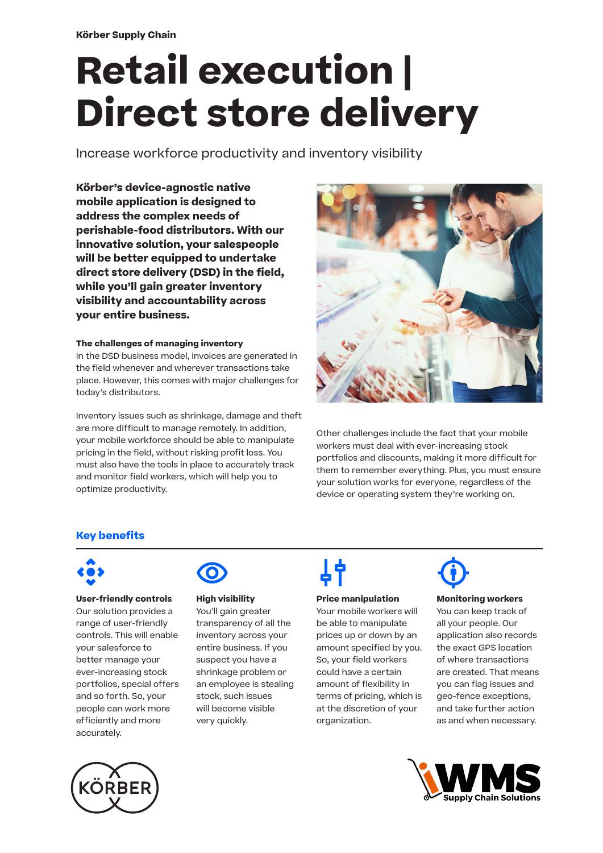# **Retail execution | Direct store delivery**

Increase workforce productivity and inventory visibility

**Körber's device-agnostic native mobile application is designed to address the complex needs of perishable-food distributors. With our innovative solution, your salespeople will be better equipped to undertake direct store delivery (DSD) in the field, while you'll gain greater inventory visibility and accountability across your entire business.** 

#### **The challenges of managing inventory**

In the DSD business model, invoices are generated in the field whenever and wherever transactions take place. However, this comes with major challenges for today's distributors.

Inventory issues such as shrinkage, damage and theft are more difficult to manage remotely. In addition, your mobile workforce should be able to manipulate pricing in the field, without risking profit loss. You must also have the tools in place to accurately track and monitor field workers, which will help you to optimize productivity.



Other challenges include the fact that your mobile workers must deal with ever-increasing stock portfolios and discounts, making it more difficult for them to remember everything. Plus, you must ensure your solution works for everyone, regardless of the device or operating system they're working on.

# **Key benefits**



**User-friendly controls** Our solution provides a range of user-friendly controls. This will enable your salesforce to better manage your ever-increasing stock portfolios, special offers and so forth. So, your people can work more efficiently and more accurately.



#### **High visibility**

You'll gain greater transparency of all the inventory across your entire business. If you suspect you have a shrinkage problem or an employee is stealing stock, such issues will become visible very quickly.

### **Price manipulation**

Your mobile workers will be able to manipulate prices up or down by an amount specified by you. So, your field workers could have a certain amount of flexibility in terms of pricing, which is at the discretion of your organization.



#### **Monitoring workers**

You can keep track of all your people. Our application also records the exact GPS location of where transactions are created. That means you can flag issues and geo-fence exceptions, and take further action as and when necessary.